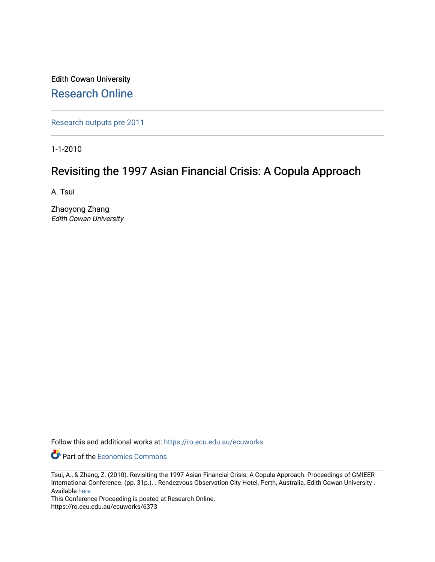Edith Cowan University [Research Online](https://ro.ecu.edu.au/) 

[Research outputs pre 2011](https://ro.ecu.edu.au/ecuworks)

1-1-2010

# Revisiting the 1997 Asian Financial Crisis: A Copula Approach

A. Tsui

Zhaoyong Zhang Edith Cowan University

Follow this and additional works at: [https://ro.ecu.edu.au/ecuworks](https://ro.ecu.edu.au/ecuworks?utm_source=ro.ecu.edu.au%2Fecuworks%2F6373&utm_medium=PDF&utm_campaign=PDFCoverPages) 

**Part of the [Economics Commons](http://network.bepress.com/hgg/discipline/340?utm_source=ro.ecu.edu.au%2Fecuworks%2F6373&utm_medium=PDF&utm_campaign=PDFCoverPages)** 

This Conference Proceeding is posted at Research Online. https://ro.ecu.edu.au/ecuworks/6373

Tsui, A., & Zhang, Z. (2010). Revisiting the 1997 Asian Financial Crisis: A Copula Approach. Proceedings of GMIEER International Conference. (pp. 31p.). . Rendezvous Observation City Hotel, Perth, Australia. Edith Cowan University . Available [here](http://www.ecu.edu.au/conferences/2010/gmieer/conference-papers-in-proceedings)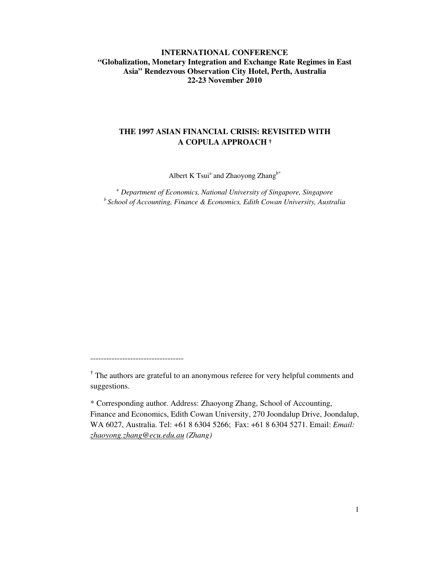# **INTERNATIONAL CONFERENCE "Globalization, Monetary Integration and Exchange Rate Regimes in East Asia" Rendezvous Observation City Hotel, Perth, Australia 22-23 November 2010**

# **THE 1997 ASIAN FINANCIAL CRISIS: REVISITED WITH A COPULA APPROACH**

Albert K Tsui<sup>a</sup> and Zhaoyong Zhang<sup>b\*</sup>

<sup>a</sup> *Department of Economics, National University of Singapore, Singapore b School of Accounting, Finance & Economics, Edith Cowan University, Australia*

-----------------------------------

**†** The authors are grateful to an anonymous referee for very helpful comments and suggestions.

\* Corresponding author. Address: Zhaoyong Zhang, School of Accounting, Finance and Economics, Edith Cowan University, 270 Joondalup Drive, Joondalup, WA 6027, Australia. Tel: +61 8 6304 5266; Fax: +61 8 6304 5271. Email: *Email: zhaoyong.zhang@ecu.edu.au (Zhang)*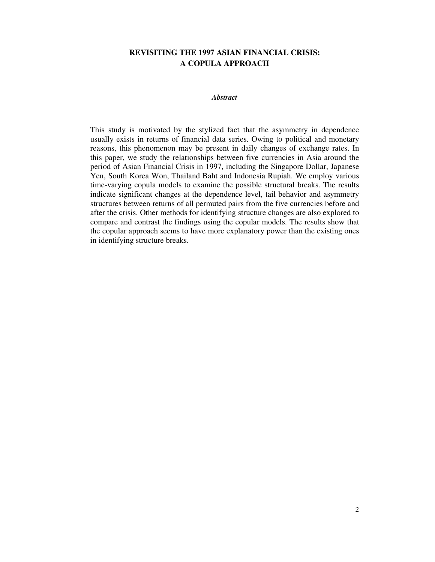# **REVISITING THE 1997 ASIAN FINANCIAL CRISIS: A COPULA APPROACH**

# *Abstract*

This study is motivated by the stylized fact that the asymmetry in dependence usually exists in returns of financial data series. Owing to political and monetary reasons, this phenomenon may be present in daily changes of exchange rates. In this paper, we study the relationships between five currencies in Asia around the period of Asian Financial Crisis in 1997, including the Singapore Dollar, Japanese Yen, South Korea Won, Thailand Baht and Indonesia Rupiah. We employ various time-varying copula models to examine the possible structural breaks. The results indicate significant changes at the dependence level, tail behavior and asymmetry structures between returns of all permuted pairs from the five currencies before and after the crisis. Other methods for identifying structure changes are also explored to compare and contrast the findings using the copular models. The results show that the copular approach seems to have more explanatory power than the existing ones in identifying structure breaks.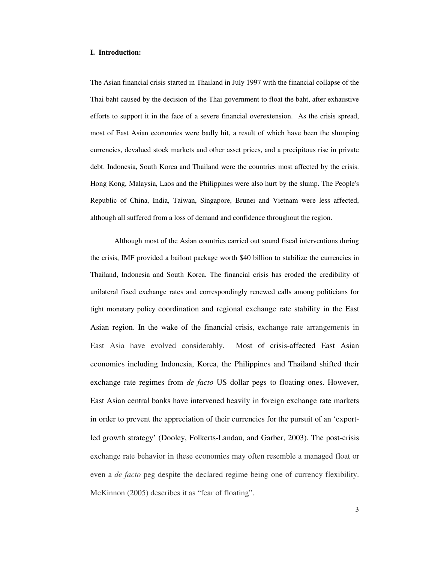#### **I. Introduction:**

The Asian financial crisis started in Thailand in July 1997 with the financial collapse of the Thai baht caused by the decision of the Thai government to float the baht, after exhaustive efforts to support it in the face of a severe financial overextension. As the crisis spread, most of East Asian economies were badly hit, a result of which have been the slumping currencies, devalued stock markets and other asset prices, and a precipitous rise in private debt. Indonesia, South Korea and Thailand were the countries most affected by the crisis. Hong Kong, Malaysia, Laos and the Philippines were also hurt by the slump. The People's Republic of China, India, Taiwan, Singapore, Brunei and Vietnam were less affected, although all suffered from a loss of demand and confidence throughout the region.

Although most of the Asian countries carried out sound fiscal interventions during the crisis, IMF provided a bailout package worth \$40 billion to stabilize the currencies in Thailand, Indonesia and South Korea. The financial crisis has eroded the credibility of unilateral fixed exchange rates and correspondingly renewed calls among politicians for tight monetary policy coordination and regional exchange rate stability in the East Asian region. In the wake of the financial crisis, exchange rate arrangements in East Asia have evolved considerably. Most of crisis-affected East Asian economies including Indonesia, Korea, the Philippines and Thailand shifted their exchange rate regimes from *de facto* US dollar pegs to floating ones. However, East Asian central banks have intervened heavily in foreign exchange rate markets in order to prevent the appreciation of their currencies for the pursuit of an 'exportled growth strategy' (Dooley, Folkerts-Landau, and Garber, 2003). The post-crisis exchange rate behavior in these economies may often resemble a managed float or even a *de facto* peg despite the declared regime being one of currency flexibility. McKinnon (2005) describes it as "fear of floating".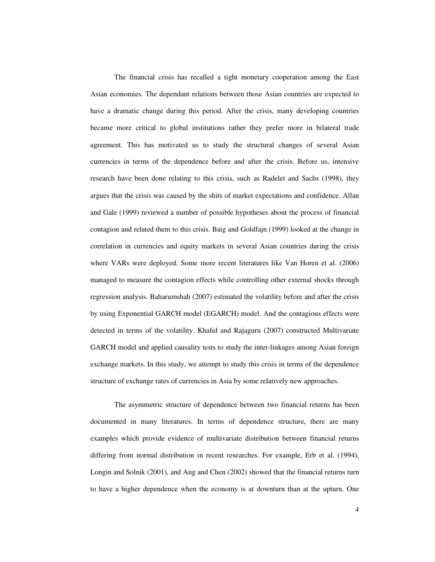The financial crisis has recalled a tight monetary cooperation among the East Asian economies. The dependant relations between those Asian countries are expected to have a dramatic change during this period. After the crisis, many developing countries became more critical to global institutions rather they prefer more in bilateral trade agreement. This has motivated us to study the structural changes of several Asian currencies in terms of the dependence before and after the crisis. Before us, intensive research have been done relating to this crisis, such as Radelet and Sachs (1998), they argues that the crisis was caused by the shits of market expectations and confidence. Allan and Gale (1999) reviewed a number of possible hypotheses about the process of financial contagion and related them to this crisis. Baig and Goldfajn (1999) looked at the change in correlation in currencies and equity markets in several Asian countries during the crisis where VARs were deployed. Some more recent literatures like Van Horen et al. (2006) managed to measure the contagion effects while controlling other external shocks through regression analysis. Baharumshah (2007) estimated the volatility before and after the crisis by using Exponential GARCH model (EGARCH) model. And the contagious effects were detected in terms of the volatility. Khalid and Rajaguru (2007) constructed Multivariate GARCH model and applied causality tests to study the inter-linkages among Asian foreign exchange markets. In this study, we attempt to study this crisis in terms of the dependence structure of exchange rates of currencies in Asia by some relatively new approaches.

The asymmetric structure of dependence between two financial returns has been documented in many literatures. In terms of dependence structure, there are many examples which provide evidence of multivariate distribution between financial returns differing from normal distribution in recent researches. For example, Erb et al. (1994), Longin and Solnik (2001), and Ang and Chen (2002) showed that the financial returns turn to have a higher dependence when the economy is at downturn than at the upturn. One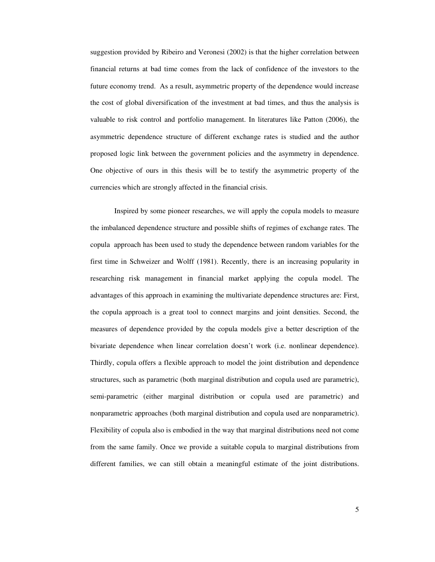suggestion provided by Ribeiro and Veronesi (2002) is that the higher correlation between financial returns at bad time comes from the lack of confidence of the investors to the future economy trend. As a result, asymmetric property of the dependence would increase the cost of global diversification of the investment at bad times, and thus the analysis is valuable to risk control and portfolio management. In literatures like Patton (2006), the asymmetric dependence structure of different exchange rates is studied and the author proposed logic link between the government policies and the asymmetry in dependence. One objective of ours in this thesis will be to testify the asymmetric property of the currencies which are strongly affected in the financial crisis.

Inspired by some pioneer researches, we will apply the copula models to measure the imbalanced dependence structure and possible shifts of regimes of exchange rates. The copula approach has been used to study the dependence between random variables for the first time in Schweizer and Wolff (1981). Recently, there is an increasing popularity in researching risk management in financial market applying the copula model. The advantages of this approach in examining the multivariate dependence structures are: First, the copula approach is a great tool to connect margins and joint densities. Second, the measures of dependence provided by the copula models give a better description of the bivariate dependence when linear correlation doesn't work (i.e. nonlinear dependence). Thirdly, copula offers a flexible approach to model the joint distribution and dependence structures, such as parametric (both marginal distribution and copula used are parametric), semi-parametric (either marginal distribution or copula used are parametric) and nonparametric approaches (both marginal distribution and copula used are nonparametric). Flexibility of copula also is embodied in the way that marginal distributions need not come from the same family. Once we provide a suitable copula to marginal distributions from different families, we can still obtain a meaningful estimate of the joint distributions.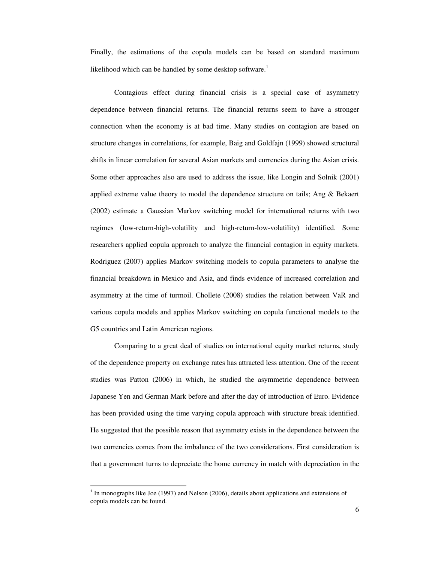Finally, the estimations of the copula models can be based on standard maximum likelihood which can be handled by some desktop software.<sup>1</sup>

Contagious effect during financial crisis is a special case of asymmetry dependence between financial returns. The financial returns seem to have a stronger connection when the economy is at bad time. Many studies on contagion are based on structure changes in correlations, for example, Baig and Goldfajn (1999) showed structural shifts in linear correlation for several Asian markets and currencies during the Asian crisis. Some other approaches also are used to address the issue, like Longin and Solnik (2001) applied extreme value theory to model the dependence structure on tails; Ang & Bekaert (2002) estimate a Gaussian Markov switching model for international returns with two regimes (low-return-high-volatility and high-return-low-volatility) identified. Some researchers applied copula approach to analyze the financial contagion in equity markets. Rodriguez (2007) applies Markov switching models to copula parameters to analyse the financial breakdown in Mexico and Asia, and finds evidence of increased correlation and asymmetry at the time of turmoil. Chollete (2008) studies the relation between VaR and various copula models and applies Markov switching on copula functional models to the G5 countries and Latin American regions.

Comparing to a great deal of studies on international equity market returns, study of the dependence property on exchange rates has attracted less attention. One of the recent studies was Patton (2006) in which, he studied the asymmetric dependence between Japanese Yen and German Mark before and after the day of introduction of Euro. Evidence has been provided using the time varying copula approach with structure break identified. He suggested that the possible reason that asymmetry exists in the dependence between the two currencies comes from the imbalance of the two considerations. First consideration is that a government turns to depreciate the home currency in match with depreciation in the

 $<sup>1</sup>$  In monographs like Joe (1997) and Nelson (2006), details about applications and extensions of</sup> copula models can be found.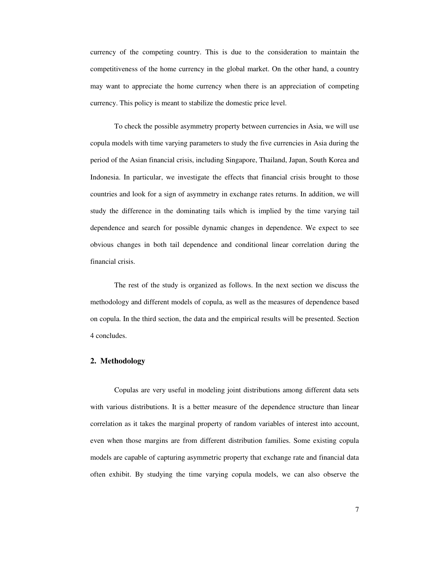currency of the competing country. This is due to the consideration to maintain the competitiveness of the home currency in the global market. On the other hand, a country may want to appreciate the home currency when there is an appreciation of competing currency. This policy is meant to stabilize the domestic price level.

To check the possible asymmetry property between currencies in Asia, we will use copula models with time varying parameters to study the five currencies in Asia during the period of the Asian financial crisis, including Singapore, Thailand, Japan, South Korea and Indonesia. In particular, we investigate the effects that financial crisis brought to those countries and look for a sign of asymmetry in exchange rates returns. In addition, we will study the difference in the dominating tails which is implied by the time varying tail dependence and search for possible dynamic changes in dependence. We expect to see obvious changes in both tail dependence and conditional linear correlation during the financial crisis.

The rest of the study is organized as follows. In the next section we discuss the methodology and different models of copula, as well as the measures of dependence based on copula. In the third section, the data and the empirical results will be presented. Section 4 concludes.

#### **2. Methodology**

Copulas are very useful in modeling joint distributions among different data sets with various distributions. It is a better measure of the dependence structure than linear correlation as it takes the marginal property of random variables of interest into account, even when those margins are from different distribution families. Some existing copula models are capable of capturing asymmetric property that exchange rate and financial data often exhibit. By studying the time varying copula models, we can also observe the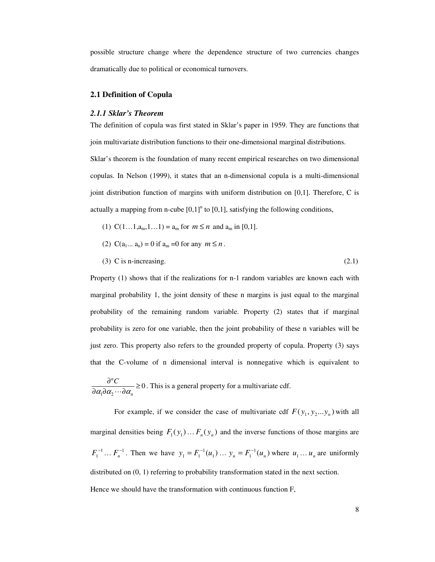possible structure change where the dependence structure of two currencies changes dramatically due to political or economical turnovers.

## **2.1 Definition of Copula**

# *2.1.1 Sklar's Theorem*

The definition of copula was first stated in Sklar's paper in 1959. They are functions that join multivariate distribution functions to their one-dimensional marginal distributions. Sklar's theorem is the foundation of many recent empirical researches on two dimensional copulas. In Nelson (1999), it states that an n-dimensional copula is a multi-dimensional joint distribution function of margins with uniform distribution on  $[0,1]$ . Therefore, C is actually a mapping from n-cube  $[0,1]$ <sup>n</sup> to  $[0,1]$ , satisfying the following conditions,

- (1)  $C(1...1,a_m,1...1) = a_m$  for  $m \le n$  and  $a_m$  in [0,1].
- (2)  $C(a_1... a_n) = 0$  if  $a_m = 0$  for any  $m \le n$ .
- (3) C is n-increasing.  $(2.1)$

Property (1) shows that if the realizations for n-1 random variables are known each with marginal probability 1, the joint density of these n margins is just equal to the marginal probability of the remaining random variable. Property (2) states that if marginal probability is zero for one variable, then the joint probability of these n variables will be just zero. This property also refers to the grounded property of copula. Property (3) says that the C-volume of n dimensional interval is nonnegative which is equivalent to

 $1^{\mathbf{u}}$   $\alpha_2$ 0 *n n C*  $\alpha$  d $\alpha$   $\cdots$  d $\alpha$  $\frac{\partial^n C}{\partial \alpha_1 \partial \alpha_2 \cdots \partial \alpha_n} \ge 0$ . This is a general property for a multivariate cdf.

For example, if we consider the case of multivariate cdf  $F(y_1, y_2... y_n)$  with all marginal densities being  $F_1(y_1) \dots F_n(y_n)$  and the inverse functions of those margins are  $F_1^{-1}$  ...  $F_n^{-1}$ . Then we have  $y_1 = F_1^{-1}(u_1)$  ...  $y_n = F_1^{-1}(u_n)$  where  $u_1$  ...  $u_n$  are uniformly distributed on (0, 1) referring to probability transformation stated in the next section. Hence we should have the transformation with continuous function F,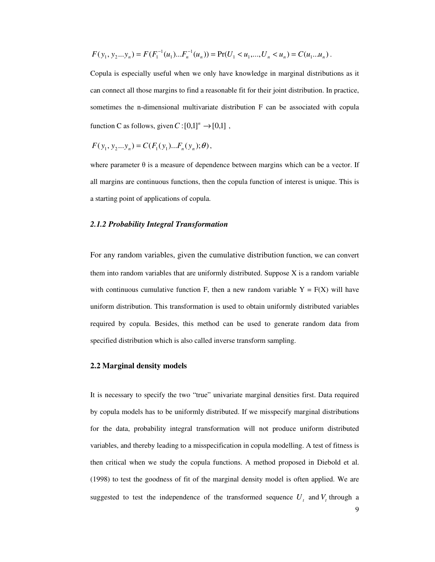$$
F(y_1, y_2...y_n) = F(F_1^{-1}(u_1)...F_n^{-1}(u_n)) = \Pr(U_1 < u_1, \ldots, U_n < u_n) = C(u_1...u_n).
$$

Copula is especially useful when we only have knowledge in marginal distributions as it can connect all those margins to find a reasonable fit for their joint distribution. In practice, sometimes the n-dimensional multivariate distribution F can be associated with copula function C as follows, given  $C: [0,1]^n \rightarrow [0,1]$ ,

$$
F(y_1, y_2...y_n) = C(F_1(y_1)...F_n(y_n); \theta),
$$

where parameter  $\theta$  is a measure of dependence between margins which can be a vector. If all margins are continuous functions, then the copula function of interest is unique. This is a starting point of applications of copula.

#### *2.1.2 Probability Integral Transformation*

For any random variables, given the cumulative distribution function, we can convert them into random variables that are uniformly distributed. Suppose  $X$  is a random variable with continuous cumulative function F, then a new random variable  $Y = F(X)$  will have uniform distribution. This transformation is used to obtain uniformly distributed variables required by copula. Besides, this method can be used to generate random data from specified distribution which is also called inverse transform sampling.

# **2.2 Marginal density models**

It is necessary to specify the two "true" univariate marginal densities first. Data required by copula models has to be uniformly distributed. If we misspecify marginal distributions for the data, probability integral transformation will not produce uniform distributed variables, and thereby leading to a misspecification in copula modelling. A test of fitness is then critical when we study the copula functions. A method proposed in Diebold et al. (1998) to test the goodness of fit of the marginal density model is often applied. We are suggested to test the independence of the transformed sequence  $U_t$  and  $V_t$  through a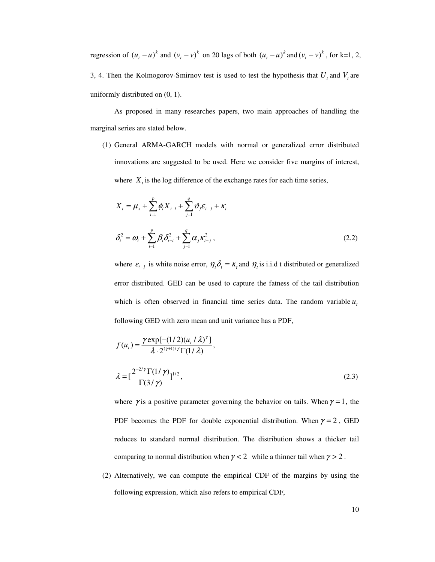regression of  $(u_t - \overline{u})^k$  and  $(v_t - \overline{v})^k$  on 20 lags of both  $(u_t - \overline{u})^k$  and  $(v_t - \overline{v})^k$ , for k=1, 2, 3, 4. Then the Kolmogorov-Smirnov test is used to test the hypothesis that  $U_t$  and  $V_t$  are uniformly distributed on (0, 1).

As proposed in many researches papers, two main approaches of handling the marginal series are stated below.

(1) General ARMA-GARCH models with normal or generalized error distributed innovations are suggested to be used. Here we consider five margins of interest, where  $X_t$  is the log difference of the exchange rates for each time series,

$$
X_{t} = \mu_{x} + \sum_{i=1}^{p} \phi_{i} X_{t-i} + \sum_{j=1}^{q} \vartheta_{j} \varepsilon_{t-j} + \kappa_{t}
$$
  

$$
\delta_{t}^{2} = \omega_{t} + \sum_{i=1}^{p} \beta_{i} \delta_{t-i}^{2} + \sum_{j=1}^{q} \alpha_{j} \kappa_{t-j}^{2},
$$
 (2.2)

where  $\varepsilon_{t-j}$  is white noise error,  $\eta_i \delta_i = \kappa_i$  and  $\eta_i$  is i.i.d t distributed or generalized error distributed. GED can be used to capture the fatness of the tail distribution which is often observed in financial time series data. The random variable  $u_t$ following GED with zero mean and unit variance has a PDF,

$$
f(u_t) = \frac{\gamma \exp[-(1/2)(u_t/\lambda)^\gamma]}{\lambda \cdot 2^{(\gamma+1)/\gamma} \Gamma(1/\lambda)},
$$
  

$$
\lambda = \left[\frac{2^{-2/\gamma} \Gamma(1/\gamma)}{\Gamma(3/\gamma)}\right]^{1/2},
$$
 (2.3)

where  $\gamma$  is a positive parameter governing the behavior on tails. When  $\gamma = 1$ , the PDF becomes the PDF for double exponential distribution. When  $\gamma = 2$ , GED reduces to standard normal distribution. The distribution shows a thicker tail comparing to normal distribution when  $\gamma < 2$  while a thinner tail when  $\gamma > 2$ .

(2) Alternatively, we can compute the empirical CDF of the margins by using the following expression, which also refers to empirical CDF,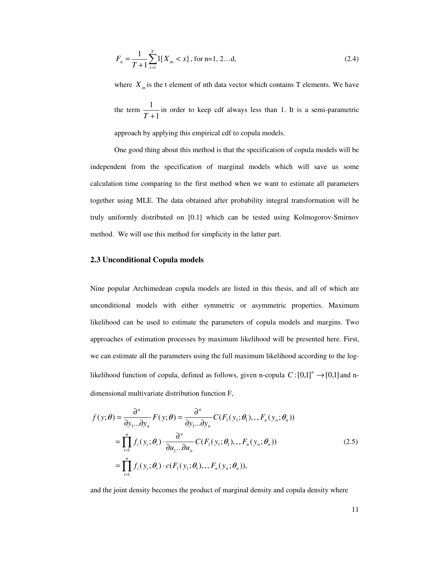$$
F_n = \frac{1}{T+1} \sum_{t=1}^{T} 1\{X_m < x\}, \text{ for } n=1, 2...d,\tag{2.4}
$$

where  $X_{tn}$  is the t element of nth data vector which contains T elements. We have the term 1 1 *T* + in order to keep cdf always less than 1. It is a semi-parametric approach by applying this empirical cdf to copula models.

One good thing about this method is that the specification of copula models will be independent from the specification of marginal models which will save us some calculation time comparing to the first method when we want to estimate all parameters together using MLE. The data obtained after probability integral transformation will be truly uniformly distributed on [0.1] which can be tested using Kolmogorov-Smirnov method. We will use this method for simplicity in the latter part.

#### **2.3 Unconditional Copula models**

Nine popular Archimedean copula models are listed in this thesis, and all of which are unconditional models with either symmetric or asymmetric properties. Maximum likelihood can be used to estimate the parameters of copula models and margins. Two approaches of estimation processes by maximum likelihood will be presented here. First, we can estimate all the parameters using the full maximum likelihood according to the loglikelihood function of copula, defined as follows, given n-copula  $C:[0,1]^n \rightarrow [0,1]$  and ndimensional multivariate distribution function F,

$$
f(y; \theta) = \frac{\partial^n}{\partial y_1...\partial y_n} F(y; \theta) = \frac{\partial^n}{\partial y_1...\partial y_n} C(F_1(y_1; \theta_1), \dots, F_n(y_n; \theta_n))
$$
  
\n
$$
= \prod_{i=1}^n f_i(y_i; \theta_i) \cdot \frac{\partial^n}{\partial u_1...\partial u_n} C(F_1(y_1; \theta_1), \dots, F_n(y_n; \theta_n))
$$
  
\n
$$
= \prod_{i=1}^n f_i(y_i; \theta_i) \cdot c(F_1(y_1; \theta_1), \dots, F_n(y_n; \theta_n)),
$$
\n(2.5)

and the joint density becomes the product of marginal density and copula density where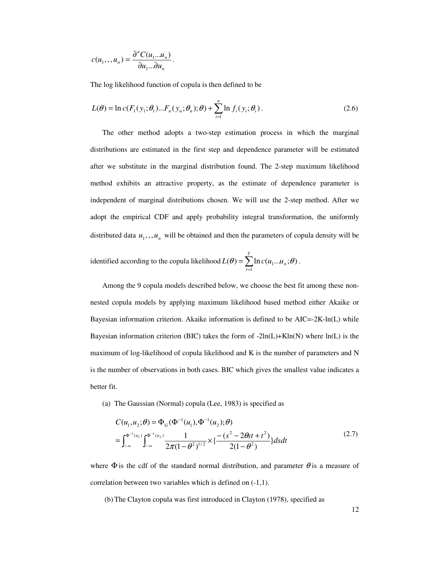$$
c(u_1, u_n) = \frac{\partial^n C(u_1...u_n)}{\partial u_1...\partial u_n}.
$$

The log likelihood function of copula is then defined to be

$$
L(\theta) = \ln c(F_1(y_1; \theta_1)...F_n(y_n; \theta_n); \theta) + \sum_{i=1}^n \ln f_i(y_i; \theta_i).
$$
 (2.6)

The other method adopts a two-step estimation process in which the marginal distributions are estimated in the first step and dependence parameter will be estimated after we substitute in the marginal distribution found. The 2-step maximum likelihood method exhibits an attractive property, as the estimate of dependence parameter is independent of marginal distributions chosen. We will use the 2-step method. After we adopt the empirical CDF and apply probability integral transformation, the uniformly distributed data  $u_1, u_n$ , will be obtained and then the parameters of copula density will be

identified according to the copula likelihood  $L(\theta) = \sum_{t=1}^{T}$  $=\sum_{i=1}^{T}$  $L(\theta) = \sum_{i=1}^{\infty} \ln c(u_1...u_n;\theta)$ .

Among the 9 copula models described below, we choose the best fit among these nonnested copula models by applying maximum likelihood based method either Akaike or Bayesian information criterion. Akaike information is defined to be  $AIC = 2K-ln(L)$  while Bayesian information criterion (BIC) takes the form of  $-2\ln(L)+K\ln(N)$  where  $\ln(L)$  is the maximum of log-likelihood of copula likelihood and K is the number of parameters and N is the number of observations in both cases. BIC which gives the smallest value indicates a better fit.

(a) The Gaussian (Normal) copula (Lee, 1983) is specified as

$$
C(u_1, u_2; \theta) = \Phi_G(\Phi^{-1}(u_1), \Phi^{-1}(u_2); \theta)
$$
  
= 
$$
\int_{-\infty}^{\Phi^{-1}(u_1)} \int_{-\infty}^{\Phi^{-1}(u_2)} \frac{1}{2\pi (1 - \theta^2)^{1/2}} \times {\frac{-(s^2 - 2\theta st + t^2)}{2(1 - \theta^2)}} ds dt
$$
 (2.7)

where  $\Phi$  is the cdf of the standard normal distribution, and parameter  $\theta$  is a measure of correlation between two variables which is defined on (-1,1).

(b) The Clayton copula was first introduced in Clayton (1978), specified as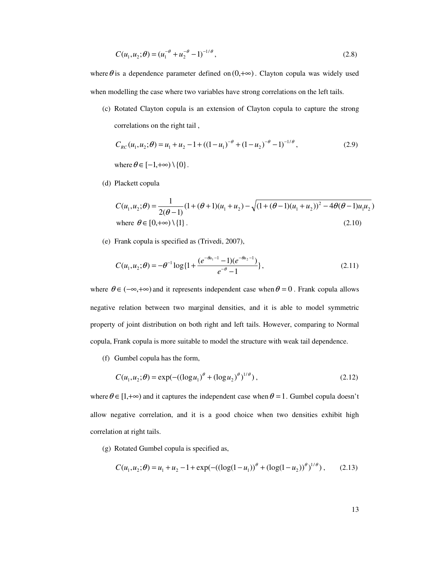$$
C(u_1, u_2; \theta) = (u_1^{-\theta} + u_2^{-\theta} - 1)^{-1/\theta},
$$
\n(2.8)

where  $\theta$  is a dependence parameter defined on  $(0, +\infty)$ . Clayton copula was widely used when modelling the case where two variables have strong correlations on the left tails.

(c) Rotated Clayton copula is an extension of Clayton copula to capture the strong correlations on the right tail ,

$$
C_{RC}(u_1, u_2; \theta) = u_1 + u_2 - 1 + ((1 - u_1)^{-\theta} + (1 - u_2)^{-\theta} - 1)^{-1/\theta},
$$
  
where  $\theta \in [-1, +\infty) \setminus \{0\}.$  (2.9)

(d) Plackett copula

$$
C(u_1, u_2; \theta) = \frac{1}{2(\theta - 1)} (1 + (\theta + 1)(u_1 + u_2) - \sqrt{(1 + (\theta - 1)(u_1 + u_2))^2 - 4\theta(\theta - 1)u_1u_2})
$$
  
where  $\theta \in [0, +\infty) \setminus \{1\}$ . (2.10)

(e) Frank copula is specified as (Trivedi, 2007),

$$
C(u_1, u_2; \theta) = -\theta^{-1} \log\{1 + \frac{(e^{-\theta u_1 - 1} - 1)(e^{-\theta u_2 - 1})}{e^{-\theta} - 1}\},
$$
\n(2.11)

where  $\theta \in (-\infty, +\infty)$  and it represents independent case when  $\theta = 0$ . Frank copula allows negative relation between two marginal densities, and it is able to model symmetric property of joint distribution on both right and left tails. However, comparing to Normal copula, Frank copula is more suitable to model the structure with weak tail dependence.

(f) Gumbel copula has the form,

$$
C(u_1, u_2; \theta) = \exp(-( (\log u_1)^{\theta} + (\log u_2)^{\theta})^{1/\theta}), \tag{2.12}
$$

where  $\theta \in [1,+\infty)$  and it captures the independent case when  $\theta = 1$ . Gumbel copula doesn't allow negative correlation, and it is a good choice when two densities exhibit high correlation at right tails.

(g) Rotated Gumbel copula is specified as,

$$
C(u_1, u_2; \theta) = u_1 + u_2 - 1 + \exp(-((\log(1 - u_1))^{\theta} + (\log(1 - u_2))^{\theta})^{1/\theta}), \quad (2.13)
$$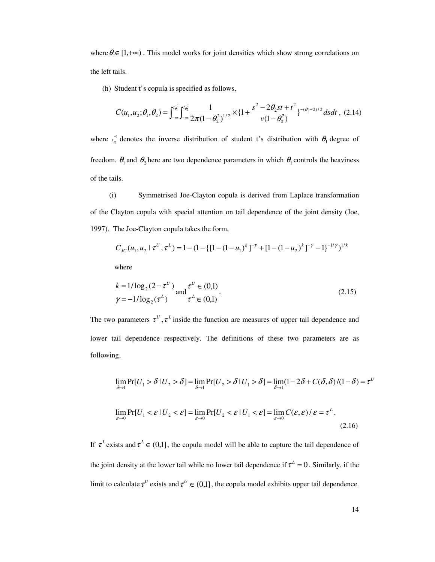where  $\theta \in [1,+\infty)$ . This model works for joint densities which show strong correlations on the left tails.

(h) Student t's copula is specified as follows,

$$
C(u_1, u_2; \theta_1, \theta_2) = \int_{-\infty}^{t_{\theta_1}^{-1}} \int_{-\infty}^{t_{\theta_2}^{-1}} \frac{1}{2\pi (1 - \theta_2^2)^{1/2}} \times \left\{1 + \frac{s^2 - 2\theta_2 st + t^2}{v(1 - \theta_2^2)}\right\}^{-(\theta_1 + 2)/2} ds dt , (2.14)
$$

where  $t_a^{-1}$ 1  $t_{\theta_1}^{-1}$  denotes the inverse distribution of student t's distribution with  $\theta_1$  degree of freedom.  $\theta_1$  and  $\theta_2$  here are two dependence parameters in which  $\theta_1$  controls the heaviness of the tails.

(i) Symmetrised Joe-Clayton copula is derived from Laplace transformation of the Clayton copula with special attention on tail dependence of the joint density (Joe, 1997). The Joe-Clayton copula takes the form,

$$
C_{\text{JC}}(u_1, u_2 \mid \tau^U, \tau^L) = 1 - (1 - \{[1 - (1 - u_1)^k]^{-\gamma} + [1 - (1 - u_2)^k]^{-\gamma} - 1\}^{-1/\gamma})^{1/k}
$$

where

$$
k = 1/\log_2(2 - \tau^U) \text{ and } \tau^U \in (0,1)
$$
  
\n
$$
\gamma = -1/\log_2(\tau^L) \qquad \tau^L \in (0,1)
$$
\n(2.15)

The two parameters  $\tau^U$ ,  $\tau^L$  inside the function are measures of upper tail dependence and lower tail dependence respectively. The definitions of these two parameters are as following,

$$
\lim_{\delta \to 1} \Pr[U_1 > \delta \mid U_2 > \delta] = \lim_{\delta \to 1} \Pr[U_2 > \delta \mid U_1 > \delta] = \lim_{\delta \to 1} (1 - 2\delta + C(\delta, \delta) / (1 - \delta) = \tau^U
$$
\n
$$
\lim_{\varepsilon \to 0} \Pr[U_1 < \varepsilon \mid U_2 < \varepsilon] = \lim_{\varepsilon \to 0} \Pr[U_2 < \varepsilon \mid U_1 < \varepsilon] = \lim_{\varepsilon \to 0} C(\varepsilon, \varepsilon) / \varepsilon = \tau^L. \tag{2.16}
$$

If  $\tau^L$  exists and  $\tau^L \in (0,1]$ , the copula model will be able to capture the tail dependence of the joint density at the lower tail while no lower tail dependence if  $\tau^L = 0$ . Similarly, if the limit to calculate  $\tau^U$  exists and  $\tau^U \in (0,1]$ , the copula model exhibits upper tail dependence.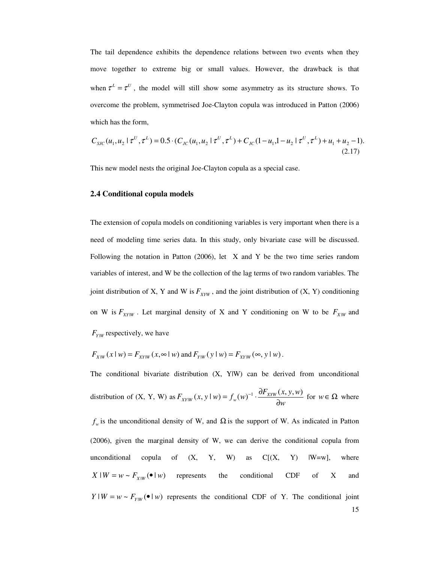The tail dependence exhibits the dependence relations between two events when they move together to extreme big or small values. However, the drawback is that when  $\tau^L = \tau^U$ , the model will still show some asymmetry as its structure shows. To overcome the problem, symmetrised Joe-Clayton copula was introduced in Patton (2006) which has the form,

$$
C_{SIC}(u_1, u_2 \mid \tau^U, \tau^L) = 0.5 \cdot (C_{JC}(u_1, u_2 \mid \tau^U, \tau^L) + C_{JC}(1 - u_1, 1 - u_2 \mid \tau^U, \tau^L) + u_1 + u_2 - 1).
$$
\n(2.17)

This new model nests the original Joe-Clayton copula as a special case.

#### **2.4 Conditional copula models**

The extension of copula models on conditioning variables is very important when there is a need of modeling time series data. In this study, only bivariate case will be discussed. Following the notation in Patton (2006), let X and Y be the two time series random variables of interest, and W be the collection of the lag terms of two random variables. The joint distribution of X, Y and W is  $F_{XYW}$ , and the joint distribution of  $(X, Y)$  conditioning on W is  $F_{XY|W}$ . Let marginal density of X and Y conditioning on W to be  $F_{X|W}$  and  $F_{Y|W}$  respectively, we have

$$
F_{X|W}(x \mid w) = F_{X|W}(x, \infty \mid w) \text{ and } F_{Y|W}(y \mid w) = F_{X|W}(\infty, y \mid w).
$$

The conditional bivariate distribution (X, Y|W) can be derived from unconditional distribution of  $(X, Y, W)$  as  $F_{XY|W}(x, y | w) = f_w(w)^{-1} \cdot \frac{\partial F_{XY|W}(x, y)}{\partial w}$  $F_{XYW}(x, y \mid w) = f_w(w)^{-1} \cdot \frac{\partial F_{XYW}(x, y, w)}{\partial w}$  $J_{\mathcal{W}}(x, y \mid w) = f_{\mathcal{W}}(w)^{-1} \cdot \frac{\partial F_{XYW}(x, y, w)}{\partial w}$  for  $w \in \Omega$  where

 $f_w$  is the unconditional density of W, and  $\Omega$  is the support of W. As indicated in Patton (2006), given the marginal density of W, we can derive the conditional copula from unconditional copula of  $(X, Y, W)$  as  $C[(X, Y) | W=w]$ , where  $X|W = w \sim F_{X|W}(\bullet | w)$  represents the conditional CDF of X and  $Y|W = w \sim F_{Y|W}(\bullet | w)$  represents the conditional CDF of Y. The conditional joint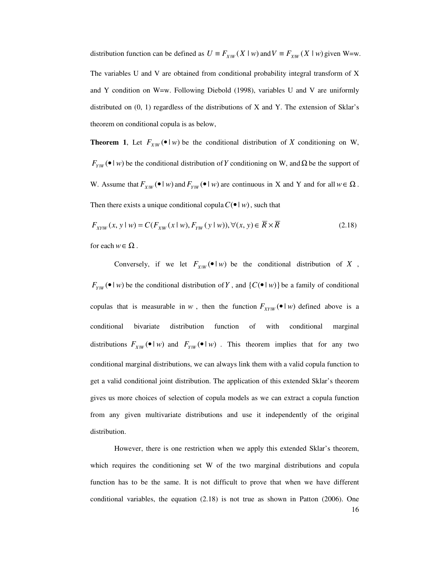distribution function can be defined as  $U = F_{X|W}(X | w)$  and  $V = F_{X|W}(X | w)$  given W=w. The variables U and V are obtained from conditional probability integral transform of X and Y condition on W=w. Following Diebold (1998), variables U and V are uniformly distributed on  $(0, 1)$  regardless of the distributions of X and Y. The extension of Sklar's theorem on conditional copula is as below,

**Theorem 1**, Let  $F_{X|W}(\bullet | w)$  be the conditional distribution of *X* conditioning on W,  $F_{Y|W}(\bullet | w)$  be the conditional distribution of *Y* conditioning on W, and  $\Omega$  be the support of W. Assume that  $F_{X|W}(\bullet | w)$  and  $F_{Y|W}(\bullet | w)$  are continuous in X and Y and for all  $w \in \Omega$ . Then there exists a unique conditional copula  $C(\bullet | w)$ , such that

$$
F_{XYW}(x, y \mid w) = C(F_{XW}(x \mid w), F_{YW}(y \mid w)), \forall (x, y) \in \overline{R} \times \overline{R}
$$
\n(2.18)

for each  $w \in \Omega$ .

Conversely, if we let  $F_{X|W}(\bullet | w)$  be the conditional distribution of *X*,  $F_{Y|W}(\bullet | w)$  be the conditional distribution of Y, and  $\{C(\bullet | w)\}$  be a family of conditional copulas that is measurable in *w*, then the function  $F_{XY|W}(\bullet | w)$  defined above is a conditional bivariate distribution function of with conditional marginal distributions  $F_{X|W}(\bullet | w)$  and  $F_{Y|W}(\bullet | w)$ . This theorem implies that for any two conditional marginal distributions, we can always link them with a valid copula function to get a valid conditional joint distribution. The application of this extended Sklar's theorem gives us more choices of selection of copula models as we can extract a copula function from any given multivariate distributions and use it independently of the original distribution.

16 However, there is one restriction when we apply this extended Sklar's theorem, which requires the conditioning set W of the two marginal distributions and copula function has to be the same. It is not difficult to prove that when we have different conditional variables, the equation  $(2.18)$  is not true as shown in Patton  $(2006)$ . One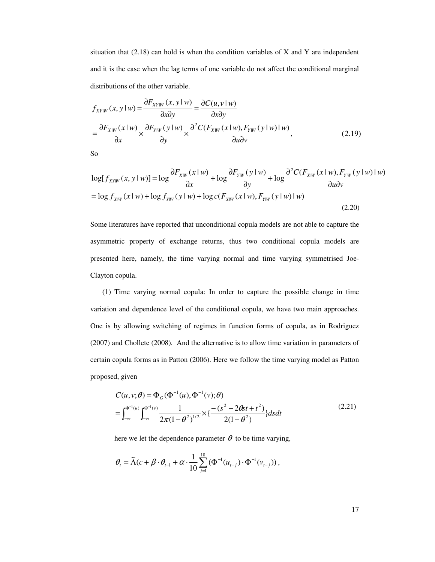situation that (2.18) can hold is when the condition variables of X and Y are independent and it is the case when the lag terms of one variable do not affect the conditional marginal distributions of the other variable.

$$
f_{XY|W}(x, y | w) = \frac{\partial F_{XY|W}(x, y | w)}{\partial x \partial y} = \frac{\partial C(u, v | w)}{\partial x \partial y}
$$
  
= 
$$
\frac{\partial F_{X|W}(x | w)}{\partial x} \times \frac{\partial F_{Y|W}(y | w)}{\partial y} \times \frac{\partial^2 C(F_{X|W}(x | w), F_{Y|W}(y | w) | w)}{\partial u \partial v},
$$
 (2.19)

So

$$
\log[f_{XYW}(x, y \mid w)] = \log \frac{\partial F_{XW}(x \mid w)}{\partial x} + \log \frac{\partial F_{YW}(y \mid w)}{\partial y} + \log \frac{\partial^2 C(F_{XW}(x \mid w), F_{YW}(y \mid w) \mid w)}{\partial u \partial v}
$$

$$
= \log f_{X|W}(x \mid w) + \log f_{YW}(y \mid w) + \log c(F_{X|W}(x \mid w), F_{YW}(y \mid w) \mid w)
$$
(2.20)

Some literatures have reported that unconditional copula models are not able to capture the asymmetric property of exchange returns, thus two conditional copula models are presented here, namely, the time varying normal and time varying symmetrised Joe-Clayton copula.

(1) Time varying normal copula: In order to capture the possible change in time variation and dependence level of the conditional copula, we have two main approaches. One is by allowing switching of regimes in function forms of copula, as in Rodriguez (2007) and Chollete (2008). And the alternative is to allow time variation in parameters of certain copula forms as in Patton (2006). Here we follow the time varying model as Patton proposed, given

$$
C(u, v; \theta) = \Phi_G(\Phi^{-1}(u), \Phi^{-1}(v); \theta)
$$
  
= 
$$
\int_{-\infty}^{\Phi^{-1}(u)} \int_{-\infty}^{\Phi^{-1}(v)} \frac{1}{2\pi (1 - \theta^2)^{1/2}} \times {\frac{-(s^2 - 2\theta st + t^2)}{2(1 - \theta^2)}} ds dt
$$
 (2.21)

here we let the dependence parameter  $\theta$  to be time varying,

$$
\theta_{t} = \widetilde{\Lambda}(c + \beta \cdot \theta_{t-1} + \alpha \cdot \frac{1}{10} \sum_{j=1}^{10} (\Phi^{-1}(u_{t-j}) \cdot \Phi^{-1}(v_{t-j})),
$$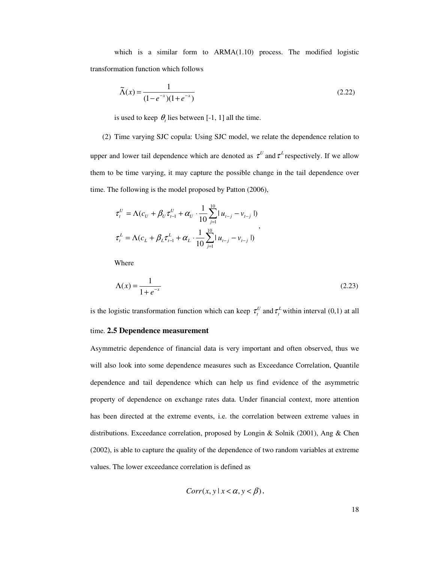which is a similar form to ARMA(1.10) process. The modified logistic transformation function which follows

$$
\tilde{\Lambda}(x) = \frac{1}{(1 - e^{-x})(1 + e^{-x})}
$$
\n(2.22)

is used to keep  $\theta$ , lies between [-1, 1] all the time.

(2) Time varying SJC copula: Using SJC model, we relate the dependence relation to upper and lower tail dependence which are denoted as  $\tau^U$  and  $\tau^L$  respectively. If we allow them to be time varying, it may capture the possible change in the tail dependence over time. The following is the model proposed by Patton (2006),

$$
\tau_t^U = \Lambda(c_U + \beta_U \tau_{t-1}^U + \alpha_U \cdot \frac{1}{10} \sum_{j=1}^{10} |u_{t-j} - v_{t-j}|)
$$
  

$$
\tau_t^L = \Lambda(c_L + \beta_L \tau_{t-1}^L + \alpha_L \cdot \frac{1}{10} \sum_{j=1}^{10} |u_{t-j} - v_{t-j}|)
$$

Where

$$
\Lambda(x) = \frac{1}{1 + e^{-x}}
$$
\n(2.23)

is the logistic transformation function which can keep  $\tau_t^U$  and  $\tau_t^L$  within interval (0,1) at all

#### time. **2.5 Dependence measurement**

Asymmetric dependence of financial data is very important and often observed, thus we will also look into some dependence measures such as Exceedance Correlation, Quantile dependence and tail dependence which can help us find evidence of the asymmetric property of dependence on exchange rates data. Under financial context, more attention has been directed at the extreme events, i.e. the correlation between extreme values in distributions. Exceedance correlation, proposed by Longin & Solnik (2001), Ang & Chen (2002), is able to capture the quality of the dependence of two random variables at extreme values. The lower exceedance correlation is defined as

$$
Corr(x, y \mid x < \alpha, y < \beta),
$$

18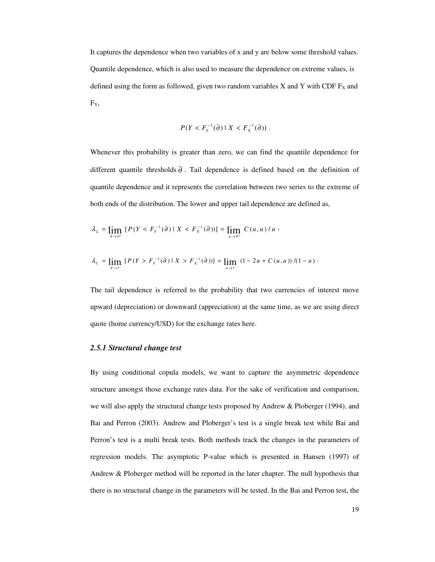It captures the dependence when two variables of x and y are below some threshold values. Quantile dependence, which is also used to measure the dependence on extreme values, is defined using the form as followed, given two random variables X and Y with CDF  $F<sub>X</sub>$  and FY,

$$
P(Y < F_Y^{-1}(\partial) \mid X < F_X^{-1}(\partial))\,.
$$

Whenever this probability is greater than zero, we can find the quantile dependence for different quantile thresholds  $\partial$ . Tail dependence is defined based on the definition of quantile dependence and it represents the correlation between two series to the extreme of both ends of the distribution. The lower and upper tail dependence are defined as,

$$
\lambda_{L} = \lim_{\partial \to 0^{+}} [P(Y < F_{Y}^{-1}(\partial) \mid X < F_{X}^{-1}(\partial))] = \lim_{u \to 0^{+}} C(u, u) / u,
$$

$$
\lambda_{\scriptscriptstyle U}=\lim_{\partial\to 1^-}\left[P(Y>F_{\scriptscriptstyle Y}^{-1}(\partial)\mid X>F_{\scriptscriptstyle X}^{-1}(\partial))\right]=\lim_{u\to 1^-}\left(1-2u+C(u,u)\right)/(1-u)\cdot
$$

The tail dependence is referred to the probability that two currencies of interest move upward (depreciation) or downward (appreciation) at the same time, as we are using direct quote (home currency/USD) for the exchange rates here.

# *2.5.1 Structural change test*

By using conditional copula models, we want to capture the asymmetric dependence structure amongst those exchange rates data. For the sake of verification and comparison, we will also apply the structural change tests proposed by Andrew & Ploberger (1994), and Bai and Perron (2003). Andrew and Ploberger's test is a single break test while Bai and Perron's test is a multi break tests. Both methods track the changes in the parameters of regression models. The asymptotic P-value which is presented in Hansen (1997) of Andrew & Ploberger method will be reported in the later chapter. The null hypothesis that there is no structural change in the parameters will be tested. In the Bai and Perron test, the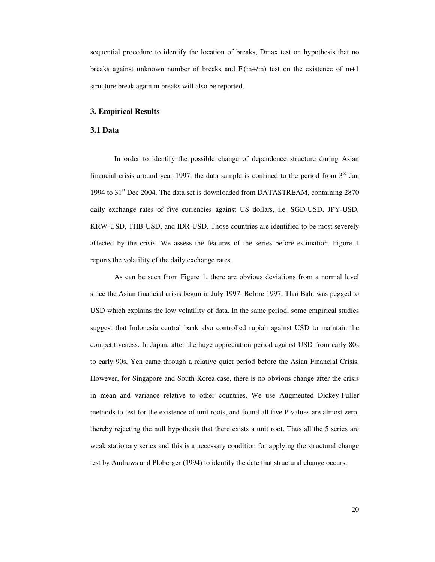sequential procedure to identify the location of breaks, Dmax test on hypothesis that no breaks against unknown number of breaks and  $F_t(m+/m)$  test on the existence of m+1 structure break again m breaks will also be reported.

#### **3. Empirical Results**

#### **3.1 Data**

In order to identify the possible change of dependence structure during Asian financial crisis around year 1997, the data sample is confined to the period from  $3<sup>rd</sup>$  Jan 1994 to 31<sup>st</sup> Dec 2004. The data set is downloaded from DATASTREAM, containing 2870 daily exchange rates of five currencies against US dollars, i.e. SGD-USD, JPY-USD, KRW-USD, THB-USD, and IDR-USD. Those countries are identified to be most severely affected by the crisis. We assess the features of the series before estimation. Figure 1 reports the volatility of the daily exchange rates.

As can be seen from Figure 1, there are obvious deviations from a normal level since the Asian financial crisis begun in July 1997. Before 1997, Thai Baht was pegged to USD which explains the low volatility of data. In the same period, some empirical studies suggest that Indonesia central bank also controlled rupiah against USD to maintain the competitiveness. In Japan, after the huge appreciation period against USD from early 80s to early 90s, Yen came through a relative quiet period before the Asian Financial Crisis. However, for Singapore and South Korea case, there is no obvious change after the crisis in mean and variance relative to other countries. We use Augmented Dickey-Fuller methods to test for the existence of unit roots, and found all five P-values are almost zero, thereby rejecting the null hypothesis that there exists a unit root. Thus all the 5 series are weak stationary series and this is a necessary condition for applying the structural change test by Andrews and Ploberger (1994) to identify the date that structural change occurs.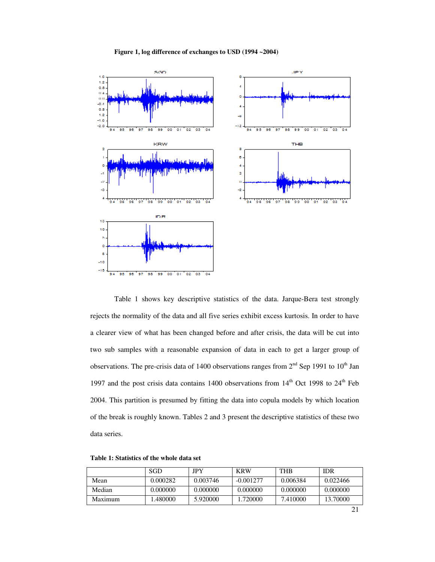#### **Figure 1, log difference of exchanges to USD (1994 ~2004)**



Table 1 shows key descriptive statistics of the data. Jarque-Bera test strongly rejects the normality of the data and all five series exhibit excess kurtosis. In order to have a clearer view of what has been changed before and after crisis, the data will be cut into two sub samples with a reasonable expansion of data in each to get a larger group of observations. The pre-crisis data of 1400 observations ranges from  $2<sup>nd</sup>$  Sep 1991 to 10<sup>th</sup> Jan 1997 and the post crisis data contains 1400 observations from  $14<sup>th</sup>$  Oct 1998 to  $24<sup>th</sup>$  Feb 2004. This partition is presumed by fitting the data into copula models by which location of the break is roughly known. Tables 2 and 3 present the descriptive statistics of these two data series.

|         | SGD      | <b>JPY</b> | <b>KRW</b>  | <b>THB</b> | <b>IDR</b> |
|---------|----------|------------|-------------|------------|------------|
| Mean    | 0.000282 | 0.003746   | $-0.001277$ | 0.006384   | 0.022466   |
| Median  | 0.000000 | 0.000000   | 0.000000    | 0.000000   | 0.000000   |
| Maximum | .480000  | 5.920000   | 1.720000    | 7.410000   | 13.70000   |

**Table 1: Statistics of the whole data set**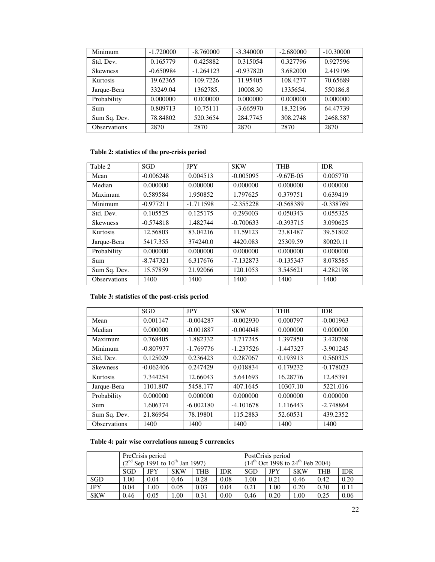| Minimum             | $-1.720000$ | $-8.760000$ | $-3.340000$ | $-2.680000$ | $-10.30000$ |
|---------------------|-------------|-------------|-------------|-------------|-------------|
| Std. Dev.           | 0.165779    | 0.425882    | 0.315054    | 0.327796    | 0.927596    |
| <b>Skewness</b>     | $-0.650984$ | $-1.264123$ | $-0.937820$ | 3.682000    | 2.419196    |
| <b>Kurtosis</b>     | 19.62365    | 109.7226    | 11.95405    | 108.4277    | 70.65689    |
| Jarque-Bera         | 33249.04    | 1362785.    | 10008.30    | 1335654.    | 550186.8    |
| Probability         | 0.000000    | 0.000000    | 0.000000    | 0.000000    | 0.000000    |
| <b>Sum</b>          | 0.809713    | 10.75111    | $-3.665970$ | 18.32196    | 64.47739    |
| Sum Sq. Dev.        | 78.84802    | 520.3654    | 284,7745    | 308.2748    | 2468.587    |
| <b>Observations</b> | 2870        | 2870        | 2870        | 2870        | 2870        |

# **Table 2: statistics of the pre-crisis period**

| Table 2             | <b>SGD</b>  | <b>JPY</b>  | <b>SKW</b>  | <b>THB</b>  | <b>IDR</b>  |
|---------------------|-------------|-------------|-------------|-------------|-------------|
| Mean                | $-0.006248$ | 0.004513    | $-0.005095$ | $-9.67E-05$ | 0.005770    |
| Median              | 0.000000    | 0.000000    | 0.000000    | 0.000000    | 0.000000    |
| Maximum             | 0.589584    | 1.950852    | 1.797625    | 0.379751    | 0.639419    |
| Minimum             | $-0.977211$ | $-1.711598$ | $-2.355228$ | $-0.568389$ | $-0.338769$ |
| Std. Dev.           | 0.105525    | 0.125175    | 0.293003    | 0.050343    | 0.055325    |
| <b>Skewness</b>     | $-0.574818$ | 1.482744    | $-0.700633$ | $-0.393715$ | 3.090625    |
| Kurtosis            | 12.56803    | 83.04216    | 11.59123    | 23.81487    | 39.51802    |
| Jarque-Bera         | 5417.355    | 374240.0    | 4420.083    | 25309.59    | 80020.11    |
| Probability         | 0.000000    | 0.000000    | 0.000000    | 0.000000    | 0.000000    |
| Sum                 | $-8.747321$ | 6.317676    | $-7.132873$ | $-0.135347$ | 8.078585    |
| Sum Sq. Dev.        | 15.57859    | 21.92066    | 120.1053    | 3.545621    | 4.282198    |
| <b>Observations</b> | 1400        | 1400        | 1400        | 1400        | 1400        |

# **Table 3: statistics of the post-crisis period**

|                     | <b>SGD</b>  | <b>JPY</b>  | <b>SKW</b>  | <b>THB</b>  | <b>IDR</b>  |
|---------------------|-------------|-------------|-------------|-------------|-------------|
| Mean                | 0.001147    | $-0.004287$ | $-0.002930$ | 0.000797    | $-0.001963$ |
| Median              | 0.000000    | $-0.001887$ | $-0.004048$ | 0.000000    | 0.000000    |
| Maximum             | 0.768405    | 1.882332    | 1.717245    | 1.397850    | 3.420768    |
| Minimum             | $-0.807977$ | $-1.769776$ | $-1.237526$ | $-1.447327$ | $-3.901245$ |
| Std. Dev.           | 0.125029    | 0.236423    | 0.287067    | 0.193913    | 0.560325    |
| <b>Skewness</b>     | $-0.062406$ | 0.247429    | 0.018834    | 0.179232    | $-0.178023$ |
| <b>Kurtosis</b>     | 7.344254    | 12.66043    | 5.641693    | 16.28776    | 12.45391    |
| Jarque-Bera         | 1101.807    | 5458.177    | 407.1645    | 10307.10    | 5221.016    |
| Probability         | 0.000000    | 0.000000    | 0.000000    | 0.000000    | 0.000000    |
| Sum                 | 1.606374    | $-6.002180$ | $-4.101678$ | 1.116443    | $-2.748864$ |
| Sum Sq. Dev.        | 21.86954    | 78.19801    | 115.2883    | 52.60531    | 439.2352    |
| <b>Observations</b> | 1400        | 1400        | 1400        | 1400        | 1400        |

# **Table 4: pair wise correlations among 5 currencies**

|            | PreCrisis period<br>$(2nd$ Sep 1991 to 10 <sup>th</sup> Jan 1997) |      |            |      | PostCrisis period<br>$(14^{\text{th}} \text{ Oct } 1998 \text{ to } 24^{\text{th}} \text{ Feb } 2004)$ |      |      |            |            |            |
|------------|-------------------------------------------------------------------|------|------------|------|--------------------------------------------------------------------------------------------------------|------|------|------------|------------|------------|
|            | SGD                                                               | JPY  | <b>SKW</b> | THB  | IDR                                                                                                    | SGD  | JPY  | <b>SKW</b> | <b>THB</b> | <b>IDR</b> |
| SGD        | .00                                                               | 0.04 | 0.46       | 0.28 | 0.08                                                                                                   | 1.00 | 0.21 | 0.46       | 0.42       | 0.20       |
| <b>JPY</b> | 0.04                                                              | 1.00 | 0.05       | 0.03 | 0.04                                                                                                   | 0.21 | 1.00 | 0.20       | 0.30       | 0.11       |
| <b>SKW</b> | 0.46                                                              | 0.05 | 1.00       | 0.31 | 0.00                                                                                                   | 0.46 | 0.20 | .00        | 0.25       | 0.06       |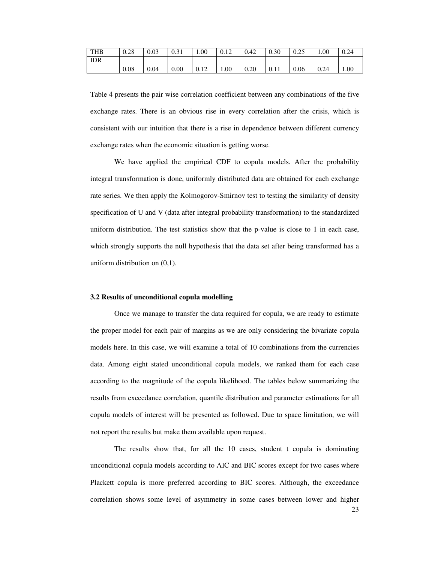| <b>THB</b> | 0.28 | 0.03 | 0.31 | 00.1 | 0.12 | 0.42 | 0.30 | 0.25 | 00.1 | 0.24 |
|------------|------|------|------|------|------|------|------|------|------|------|
| <b>IDR</b> |      |      |      |      |      |      |      |      |      |      |
|            | 0.08 | 0.04 | 0.00 | 0.12 | 00.1 | 0.20 | 0.11 | 0.06 | 0.24 | 1.00 |

Table 4 presents the pair wise correlation coefficient between any combinations of the five exchange rates. There is an obvious rise in every correlation after the crisis, which is consistent with our intuition that there is a rise in dependence between different currency exchange rates when the economic situation is getting worse.

We have applied the empirical CDF to copula models. After the probability integral transformation is done, uniformly distributed data are obtained for each exchange rate series. We then apply the Kolmogorov-Smirnov test to testing the similarity of density specification of U and V (data after integral probability transformation) to the standardized uniform distribution. The test statistics show that the p-value is close to 1 in each case, which strongly supports the null hypothesis that the data set after being transformed has a uniform distribution on (0,1).

#### **3.2 Results of unconditional copula modelling**

Once we manage to transfer the data required for copula, we are ready to estimate the proper model for each pair of margins as we are only considering the bivariate copula models here. In this case, we will examine a total of 10 combinations from the currencies data. Among eight stated unconditional copula models, we ranked them for each case according to the magnitude of the copula likelihood. The tables below summarizing the results from exceedance correlation, quantile distribution and parameter estimations for all copula models of interest will be presented as followed. Due to space limitation, we will not report the results but make them available upon request.

The results show that, for all the 10 cases, student t copula is dominating unconditional copula models according to AIC and BIC scores except for two cases where Plackett copula is more preferred according to BIC scores. Although, the exceedance correlation shows some level of asymmetry in some cases between lower and higher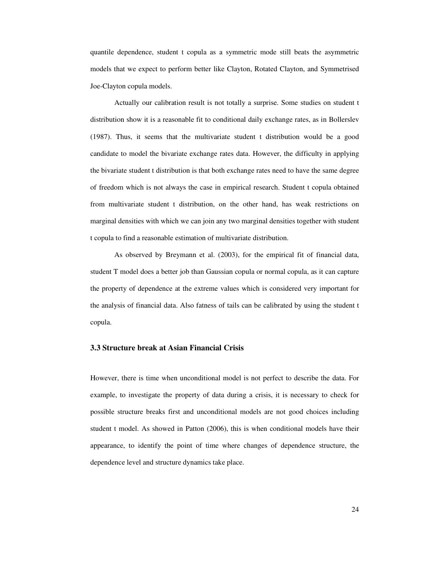quantile dependence, student t copula as a symmetric mode still beats the asymmetric models that we expect to perform better like Clayton, Rotated Clayton, and Symmetrised Joe-Clayton copula models.

Actually our calibration result is not totally a surprise. Some studies on student t distribution show it is a reasonable fit to conditional daily exchange rates, as in Bollerslev (1987). Thus, it seems that the multivariate student t distribution would be a good candidate to model the bivariate exchange rates data. However, the difficulty in applying the bivariate student t distribution is that both exchange rates need to have the same degree of freedom which is not always the case in empirical research. Student t copula obtained from multivariate student t distribution, on the other hand, has weak restrictions on marginal densities with which we can join any two marginal densities together with student t copula to find a reasonable estimation of multivariate distribution.

As observed by Breymann et al. (2003), for the empirical fit of financial data, student T model does a better job than Gaussian copula or normal copula, as it can capture the property of dependence at the extreme values which is considered very important for the analysis of financial data. Also fatness of tails can be calibrated by using the student t copula.

# **3.3 Structure break at Asian Financial Crisis**

However, there is time when unconditional model is not perfect to describe the data. For example, to investigate the property of data during a crisis, it is necessary to check for possible structure breaks first and unconditional models are not good choices including student t model. As showed in Patton (2006), this is when conditional models have their appearance, to identify the point of time where changes of dependence structure, the dependence level and structure dynamics take place.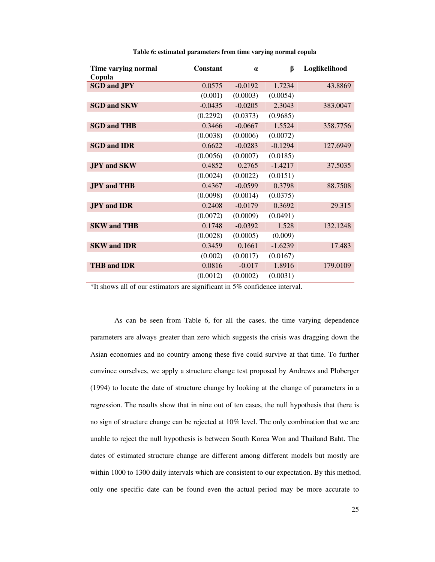| Time varying normal<br>Copula | Constant  | $\alpha$  | ß         | Loglikelihood |
|-------------------------------|-----------|-----------|-----------|---------------|
| <b>SGD and JPY</b>            | 0.0575    | $-0.0192$ | 1.7234    | 43.8869       |
|                               | (0.001)   | (0.0003)  | (0.0054)  |               |
| <b>SGD and SKW</b>            | $-0.0435$ | $-0.0205$ | 2.3043    | 383.0047      |
|                               | (0.2292)  | (0.0373)  | (0.9685)  |               |
| <b>SGD and THB</b>            | 0.3466    | $-0.0667$ | 1.5524    | 358.7756      |
|                               | (0.0038)  | (0.0006)  | (0.0072)  |               |
| <b>SGD and IDR</b>            | 0.6622    | $-0.0283$ | $-0.1294$ | 127.6949      |
|                               | (0.0056)  | (0.0007)  | (0.0185)  |               |
| <b>JPY</b> and SKW            | 0.4852    | 0.2765    | $-1.4217$ | 37.5035       |
|                               | (0.0024)  | (0.0022)  | (0.0151)  |               |
| <b>JPY</b> and THB            | 0.4367    | $-0.0599$ | 0.3798    | 88.7508       |
|                               | (0.0098)  | (0.0014)  | (0.0375)  |               |
| <b>JPY</b> and <b>IDR</b>     | 0.2408    | $-0.0179$ | 0.3692    | 29.315        |
|                               | (0.0072)  | (0.0009)  | (0.0491)  |               |
| <b>SKW and THB</b>            | 0.1748    | $-0.0392$ | 1.528     | 132.1248      |
|                               | (0.0028)  | (0.0005)  | (0.009)   |               |
| <b>SKW</b> and <b>IDR</b>     | 0.3459    | 0.1661    | $-1.6239$ | 17.483        |
|                               | (0.002)   | (0.0017)  | (0.0167)  |               |
| <b>THB and IDR</b>            | 0.0816    | $-0.017$  | 1.8916    | 179,0109      |
|                               | (0.0012)  | (0.0002)  | (0.0031)  |               |

**Table 6: estimated parameters from time varying normal copula**

\*It shows all of our estimators are significant in 5% confidence interval.

As can be seen from Table 6, for all the cases, the time varying dependence parameters are always greater than zero which suggests the crisis was dragging down the Asian economies and no country among these five could survive at that time. To further convince ourselves, we apply a structure change test proposed by Andrews and Ploberger (1994) to locate the date of structure change by looking at the change of parameters in a regression. The results show that in nine out of ten cases, the null hypothesis that there is no sign of structure change can be rejected at 10% level. The only combination that we are unable to reject the null hypothesis is between South Korea Won and Thailand Baht. The dates of estimated structure change are different among different models but mostly are within 1000 to 1300 daily intervals which are consistent to our expectation. By this method, only one specific date can be found even the actual period may be more accurate to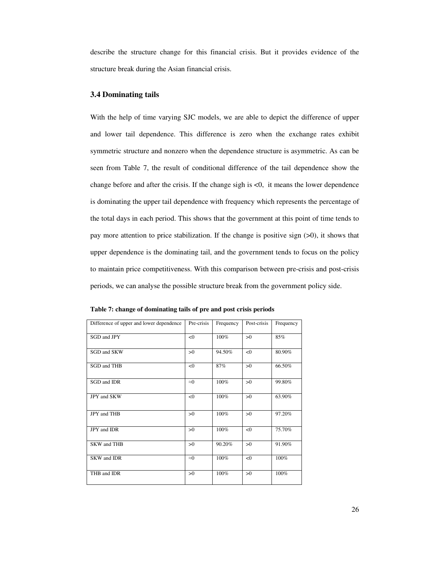describe the structure change for this financial crisis. But it provides evidence of the structure break during the Asian financial crisis.

## **3.4 Dominating tails**

With the help of time varying SJC models, we are able to depict the difference of upper and lower tail dependence. This difference is zero when the exchange rates exhibit symmetric structure and nonzero when the dependence structure is asymmetric. As can be seen from Table 7, the result of conditional difference of the tail dependence show the change before and after the crisis. If the change sigh is <0, it means the lower dependence is dominating the upper tail dependence with frequency which represents the percentage of the total days in each period. This shows that the government at this point of time tends to pay more attention to price stabilization. If the change is positive sign (>0), it shows that upper dependence is the dominating tail, and the government tends to focus on the policy to maintain price competitiveness. With this comparison between pre-crisis and post-crisis periods, we can analyse the possible structure break from the government policy side.

| Difference of upper and lower dependence | Pre-crisis  | Frequency | Post-crisis | Frequency |
|------------------------------------------|-------------|-----------|-------------|-----------|
| SGD and JPY                              | <0          | 100%      | >0          | 85%       |
| SGD and SKW                              | >0          | 94.50%    | < 0         | 80.90%    |
| SGD and THB                              | < 0         | 87%       | >0          | 66.50%    |
| SGD and IDR                              | $\approx 0$ | 100%      | >0          | 99.80%    |
| JPY and SKW                              | <0          | 100%      | >0          | 63.90%    |
| JPY and THB                              | >0          | 100%      | >0          | 97.20%    |
| JPY and IDR                              | >0          | 100%      | < 0         | 75.70%    |
| <b>SKW</b> and THB                       | >0          | 90.20%    | >0          | 91.90%    |
| <b>SKW</b> and <b>IDR</b>                | $\approx 0$ | 100%      | <0          | 100%      |
| THB and IDR                              | >0          | 100%      | >0          | 100%      |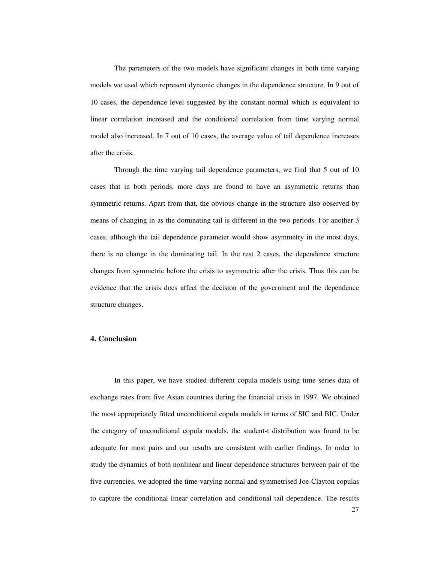The parameters of the two models have significant changes in both time varying models we used which represent dynamic changes in the dependence structure. In 9 out of 10 cases, the dependence level suggested by the constant normal which is equivalent to linear correlation increased and the conditional correlation from time varying normal model also increased. In 7 out of 10 cases, the average value of tail dependence increases after the crisis.

Through the time varying tail dependence parameters, we find that 5 out of 10 cases that in both periods, more days are found to have an asymmetric returns than symmetric returns. Apart from that, the obvious change in the structure also observed by means of changing in as the dominating tail is different in the two periods. For another 3 cases, although the tail dependence parameter would show asymmetry in the most days, there is no change in the dominating tail. In the rest 2 cases, the dependence structure changes from symmetric before the crisis to asymmetric after the crisis. Thus this can be evidence that the crisis does affect the decision of the government and the dependence structure changes.

# **4. Conclusion**

In this paper, we have studied different copula models using time series data of exchange rates from five Asian countries during the financial crisis in 1997. We obtained the most appropriately fitted unconditional copula models in terms of SIC and BIC. Under the category of unconditional copula models, the student-t distribution was found to be adequate for most pairs and our results are consistent with earlier findings. In order to study the dynamics of both nonlinear and linear dependence structures between pair of the five currencies, we adopted the time-varying normal and symmetrised Joe-Clayton copulas to capture the conditional linear correlation and conditional tail dependence. The results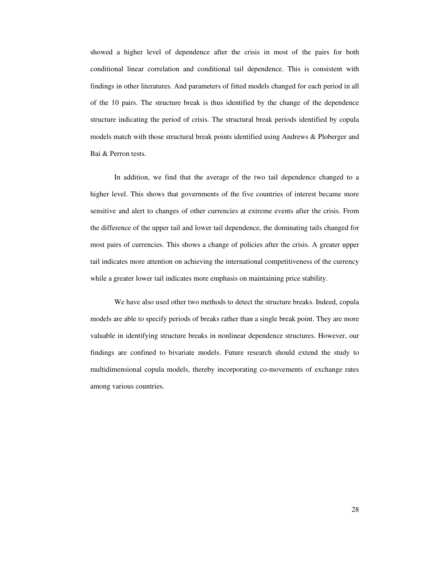showed a higher level of dependence after the crisis in most of the pairs for both conditional linear correlation and conditional tail dependence. This is consistent with findings in other literatures. And parameters of fitted models changed for each period in all of the 10 pairs. The structure break is thus identified by the change of the dependence structure indicating the period of crisis. The structural break periods identified by copula models match with those structural break points identified using Andrews & Ploberger and Bai & Perron tests.

In addition, we find that the average of the two tail dependence changed to a higher level. This shows that governments of the five countries of interest became more sensitive and alert to changes of other currencies at extreme events after the crisis. From the difference of the upper tail and lower tail dependence, the dominating tails changed for most pairs of currencies. This shows a change of policies after the crisis. A greater upper tail indicates more attention on achieving the international competitiveness of the currency while a greater lower tail indicates more emphasis on maintaining price stability.

We have also used other two methods to detect the structure breaks. Indeed, copula models are able to specify periods of breaks rather than a single break point. They are more valuable in identifying structure breaks in nonlinear dependence structures. However, our findings are confined to bivariate models. Future research should extend the study to multidimensional copula models, thereby incorporating co-movements of exchange rates among various countries.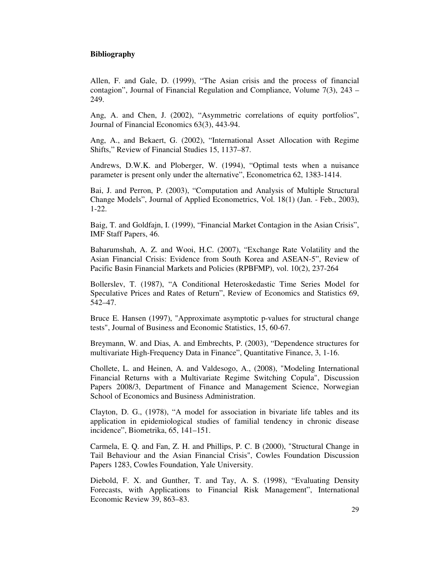# **Bibliography**

Allen, F. and Gale, D. (1999), "The Asian crisis and the process of financial contagion", Journal of Financial Regulation and Compliance, Volume 7(3), 243 – 249.

Ang, A. and Chen, J. (2002), "Asymmetric correlations of equity portfolios", Journal of Financial Economics 63(3), 443-94.

Ang, A., and Bekaert, G. (2002), "International Asset Allocation with Regime Shifts," Review of Financial Studies 15, 1137–87.

Andrews, D.W.K. and Ploberger, W. (1994), "Optimal tests when a nuisance parameter is present only under the alternative", Econometrica 62, 1383-1414.

Bai, J. and Perron, P. (2003), "Computation and Analysis of Multiple Structural Change Models", Journal of Applied Econometrics, Vol. 18(1) (Jan. - Feb., 2003), 1-22.

Baig, T. and Goldfajn, I. (1999), "Financial Market Contagion in the Asian Crisis", IMF Staff Papers, 46.

Baharumshah, A. Z. and Wooi, H.C. (2007), "Exchange Rate Volatility and the Asian Financial Crisis: Evidence from South Korea and ASEAN-5", Review of Pacific Basin Financial Markets and Policies (RPBFMP), vol. 10(2), 237-264

Bollerslev, T. (1987), "A Conditional Heteroskedastic Time Series Model for Speculative Prices and Rates of Return", Review of Economics and Statistics 69, 542–47.

Bruce E. Hansen (1997), "Approximate asymptotic p-values for structural change tests", Journal of Business and Economic Statistics, 15, 60-67.

Breymann, W. and Dias, A. and Embrechts, P. (2003), "Dependence structures for multivariate High-Frequency Data in Finance", Quantitative Finance, 3, 1-16.

Chollete, L. and Heinen, A. and Valdesogo, A., (2008), "Modeling International Financial Returns with a Multivariate Regime Switching Copula", Discussion Papers 2008/3, Department of Finance and Management Science, Norwegian School of Economics and Business Administration.

Clayton, D. G., (1978), "A model for association in bivariate life tables and its application in epidemiological studies of familial tendency in chronic disease incidence", Biometrika, 65, 141–151.

Carmela, E. Q. and Fan, Z. H. and Phillips, P. C. B (2000), "Structural Change in Tail Behaviour and the Asian Financial Crisis", Cowles Foundation Discussion Papers 1283, Cowles Foundation, Yale University.

Diebold, F. X. and Gunther, T. and Tay, A. S. (1998), "Evaluating Density Forecasts, with Applications to Financial Risk Management", International Economic Review 39, 863–83.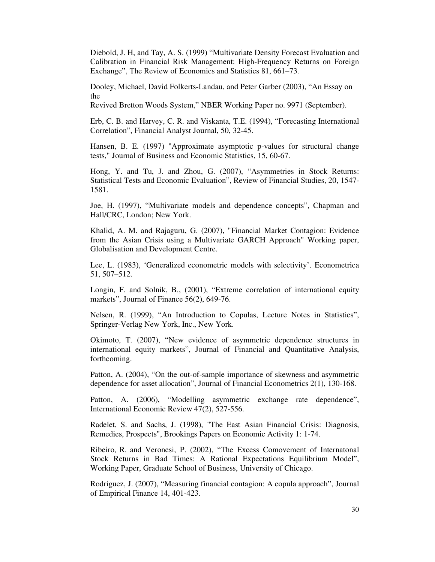Diebold, J. H, and Tay, A. S. (1999) "Multivariate Density Forecast Evaluation and Calibration in Financial Risk Management: High-Frequency Returns on Foreign Exchange", The Review of Economics and Statistics 81, 661–73.

Dooley, Michael, David Folkerts-Landau, and Peter Garber (2003), "An Essay on the

Revived Bretton Woods System," NBER Working Paper no. 9971 (September).

Erb, C. B. and Harvey, C. R. and Viskanta, T.E. (1994), "Forecasting International Correlation", Financial Analyst Journal, 50, 32-45.

Hansen, B. E. (1997) "Approximate asymptotic p-values for structural change tests," Journal of Business and Economic Statistics, 15, 60-67.

Hong, Y. and Tu, J. and Zhou, G. (2007), "Asymmetries in Stock Returns: Statistical Tests and Economic Evaluation", Review of Financial Studies, 20, 1547- 1581.

Joe, H. (1997), "Multivariate models and dependence concepts", Chapman and Hall/CRC, London; New York.

Khalid, A. M. and Rajaguru, G. (2007), "Financial Market Contagion: Evidence from the Asian Crisis using a Multivariate GARCH Approach" Working paper, Globalisation and Development Centre.

Lee, L. (1983), 'Generalized econometric models with selectivity'. Econometrica 51, 507–512.

Longin, F. and Solnik, B., (2001), "Extreme correlation of international equity markets", Journal of Finance 56(2), 649-76.

Nelsen, R. (1999), "An Introduction to Copulas, Lecture Notes in Statistics", Springer-Verlag New York, Inc., New York.

Okimoto, T. (2007), "New evidence of asymmetric dependence structures in international equity markets", Journal of Financial and Quantitative Analysis, forthcoming.

Patton, A. (2004), "On the out-of-sample importance of skewness and asymmetric dependence for asset allocation", Journal of Financial Econometrics 2(1), 130-168.

Patton, A. (2006), "Modelling asymmetric exchange rate dependence", International Economic Review 47(2), 527-556.

Radelet, S. and Sachs, J. (1998), "The East Asian Financial Crisis: Diagnosis, Remedies, Prospects", Brookings Papers on Economic Activity 1: 1-74.

Ribeiro, R. and Veronesi, P. (2002), "The Excess Comovement of Internatonal Stock Returns in Bad Times: A Rational Expectations Equilibrium Model", Working Paper, Graduate School of Business, University of Chicago.

Rodriguez, J. (2007), "Measuring financial contagion: A copula approach", Journal of Empirical Finance 14, 401-423.